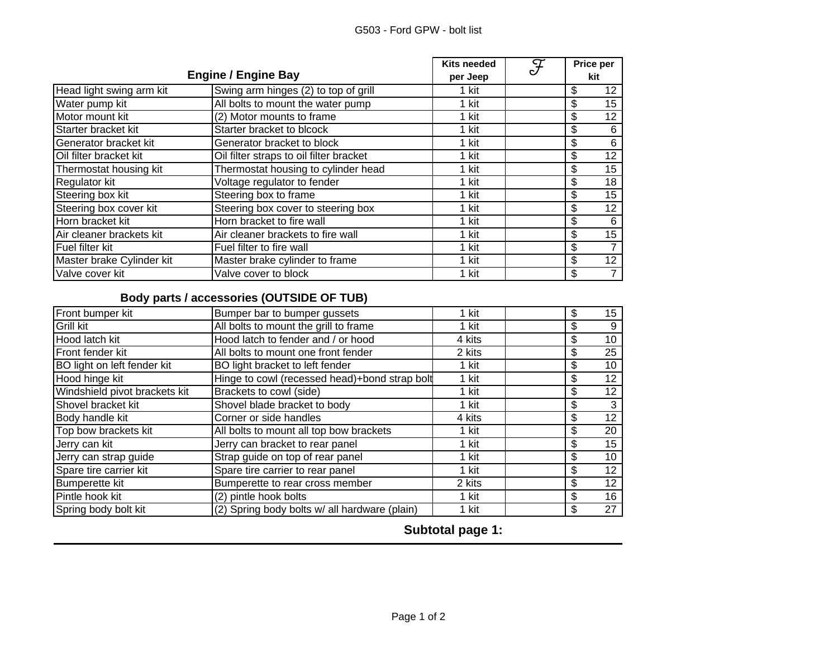| <b>Engine / Engine Bay</b> |                                         | <b>Kits needed</b><br>per Jeep | $\overline{\mathcal{F}}$ | Price per<br>kit |    |
|----------------------------|-----------------------------------------|--------------------------------|--------------------------|------------------|----|
| Head light swing arm kit   | Swing arm hinges (2) to top of grill    | 1 kit                          |                          | \$               | 12 |
| Water pump kit             | All bolts to mount the water pump       | 1 kit                          |                          | \$               | 15 |
| Motor mount kit            | (2) Motor mounts to frame               | 1 kit                          |                          | \$               | 12 |
| Starter bracket kit        | Starter bracket to blcock               | 1 kit                          |                          | \$               | 6  |
| Generator bracket kit      | Generator bracket to block              | 1 kit                          |                          | \$               | 6  |
| Oil filter bracket kit     | Oil filter straps to oil filter bracket | 1 kit                          |                          | \$               | 12 |
| Thermostat housing kit     | Thermostat housing to cylinder head     | 1 kit                          |                          | \$               | 15 |
| Regulator kit              | Voltage regulator to fender             | 1 kit                          |                          | \$               | 18 |
| Steering box kit           | Steering box to frame                   | 1 kit                          |                          | \$               | 15 |
| Steering box cover kit     | Steering box cover to steering box      | 1 kit                          |                          | \$               | 12 |
| Horn bracket kit           | Horn bracket to fire wall               | 1 kit                          |                          | \$               | 6  |
| Air cleaner brackets kit   | Air cleaner brackets to fire wall       | 1 kit                          |                          | \$               | 15 |
| Fuel filter kit            | Fuel filter to fire wall                | 1 kit                          |                          | \$               |    |
| Master brake Cylinder kit  | Master brake cylinder to frame          | 1 kit                          |                          | \$               | 12 |
| Valve cover kit            | Valve cover to block                    | 1 kit                          |                          | \$               |    |

## **Body parts / accessories (OUTSIDE OF TUB)**

| Front bumper kit              | Bumper bar to bumper gussets                  | 1 kit  | \$ | 15 |
|-------------------------------|-----------------------------------------------|--------|----|----|
| Grill kit                     | All bolts to mount the grill to frame         | 1 kit  | \$ | 9  |
| Hood latch kit                | Hood latch to fender and / or hood            | 4 kits | \$ | 10 |
| Front fender kit              | All bolts to mount one front fender           | 2 kits | \$ | 25 |
| BO light on left fender kit   | BO light bracket to left fender               | 1 kit  | \$ | 10 |
| Hood hinge kit                | Hinge to cowl (recessed head)+bond strap bolt | 1 kit  | \$ | 12 |
| Windshield pivot brackets kit | Brackets to cowl (side)                       | 1 kit  | \$ | 12 |
| Shovel bracket kit            | Shovel blade bracket to body                  | 1 kit  | \$ |    |
| Body handle kit               | Corner or side handles                        | 4 kits | \$ | 12 |
| Top bow brackets kit          | All bolts to mount all top bow brackets       | 1 kit  | \$ | 20 |
| Jerry can kit                 | Jerry can bracket to rear panel               | 1 kit  | \$ | 15 |
| Jerry can strap guide         | Strap guide on top of rear panel              | 1 kit  | \$ | 10 |
| Spare tire carrier kit        | Spare tire carrier to rear panel              | 1 kit  | \$ | 12 |
| Bumperette kit                | Bumperette to rear cross member               | 2 kits | \$ | 12 |
| Pintle hook kit               | (2) pintle hook bolts                         | 1 kit  | \$ | 16 |
| Spring body bolt kit          | (2) Spring body bolts w/ all hardware (plain) | 1 kit  | \$ | 27 |

**Subtotal page 1:**